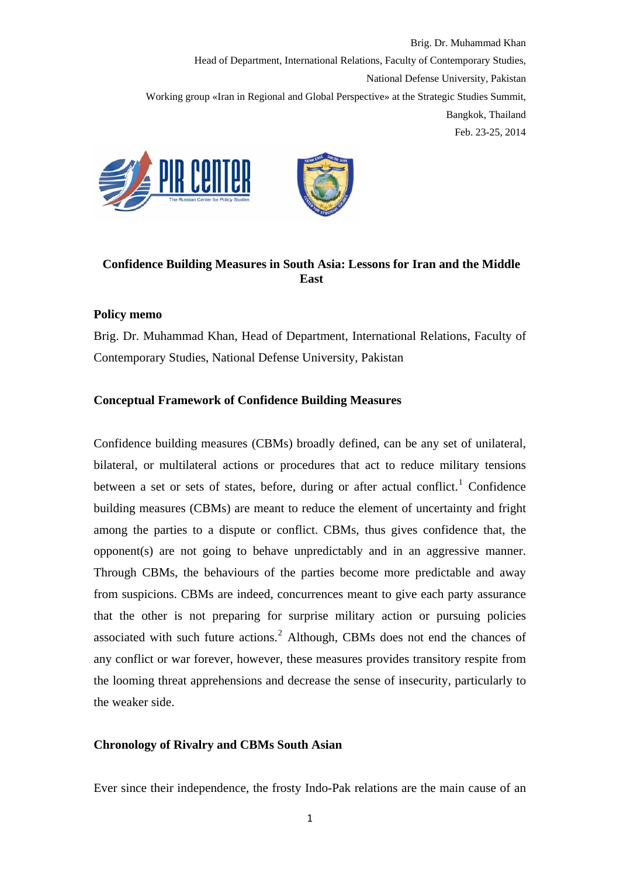

# **Confidence Building Measures in South Asia: Lessons for Iran and the Middle East**

### **Policy memo**

Brig. Dr. Muhammad Khan, Head of Department, International Relations, Faculty of Contemporary Studies, National Defense University, Pakistan

### **Conceptual Framework of Confidence Building Measures**

Confidence building measures (CBMs) broadly defined, can be any set of unilateral, bilateral, or multilateral actions or procedures that act to reduce military tensions between a set or sets of states, before, during or after actual conflict.<sup>[1](#page-12-0)</sup> Confidence building measures (CBMs) are meant to reduce the element of uncertainty and fright among the parties to a dispute or conflict. CBMs, thus gives confidence that, the opponent(s) are not going to behave unpredictably and in an aggressive manner. Through CBMs, the behaviours of the parties become more predictable and away from suspicions. CBMs are indeed, concurrences meant to give each party assurance that the other is not preparing for surprise military action or pursuing policies associated with such future actions. $<sup>2</sup>$  $<sup>2</sup>$  $<sup>2</sup>$  Although, CBMs does not end the chances of</sup> any conflict or war forever, however, these measures provides transitory respite from the looming threat apprehensions and decrease the sense of insecurity, particularly to the weaker side.

# **Chronology of Rivalry and CBMs South Asian**

Ever since their independence, the frosty Indo-Pak relations are the main cause of an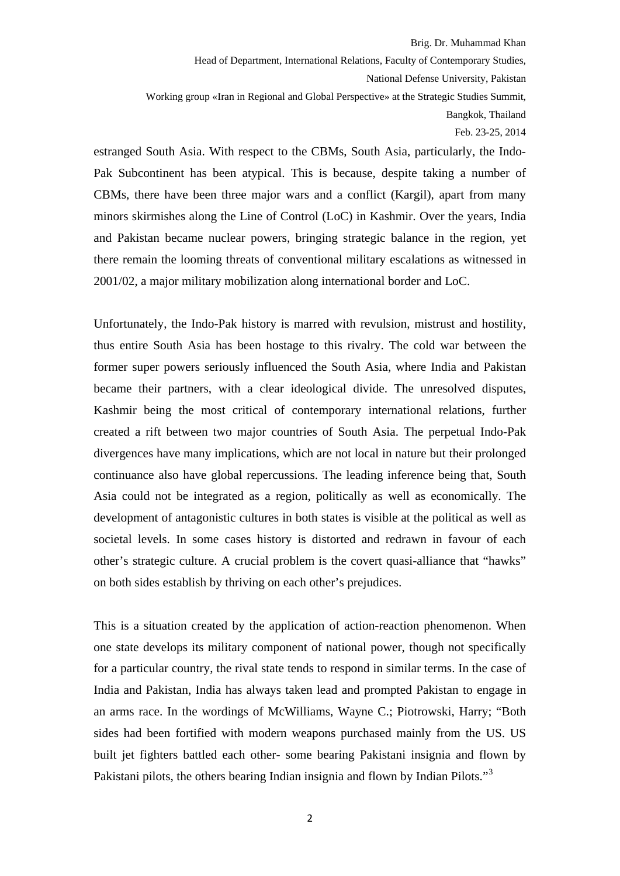Brig. Dr. Muhammad Khan

Head of Department, International Relations, Faculty of Contemporary Studies, National Defense University, Pakistan

Working group «Iran in Regional and Global Perspective» at the Strategic Studies Summit, Bangkok, Thailand

Feb. 23-25, 2014

estranged South Asia. With respect to the CBMs, South Asia, particularly, the Indo-Pak Subcontinent has been atypical. This is because, despite taking a number of CBMs, there have been three major wars and a conflict (Kargil), apart from many minors skirmishes along the Line of Control (LoC) in Kashmir. Over the years, India and Pakistan became nuclear powers, bringing strategic balance in the region, yet there remain the looming threats of conventional military escalations as witnessed in 2001/02, a major military mobilization along international border and LoC.

Unfortunately, the Indo-Pak history is marred with revulsion, mistrust and hostility, thus entire South Asia has been hostage to this rivalry. The cold war between the former super powers seriously influenced the South Asia, where India and Pakistan became their partners, with a clear ideological divide. The unresolved disputes, Kashmir being the most critical of contemporary international relations, further created a rift between two major countries of South Asia. The perpetual Indo-Pak divergences have many implications, which are not local in nature but their prolonged continuance also have global repercussions. The leading inference being that, South Asia could not be integrated as a region, politically as well as economically. The development of antagonistic cultures in both states is visible at the political as well as societal levels. In some cases history is distorted and redrawn in favour of each other's strategic culture. A crucial problem is the covert quasi-alliance that "hawks" on both sides establish by thriving on each other's prejudices.

This is a situation created by the application of action-reaction phenomenon. When one state develops its military component of national power, though not specifically for a particular country, the rival state tends to respond in similar terms. In the case of India and Pakistan, India has always taken lead and prompted Pakistan to engage in an arms race. In the wordings of McWilliams, Wayne C.; Piotrowski, Harry; "Both sides had been fortified with modern weapons purchased mainly from the US. US built jet fighters battled each other- some bearing Pakistani insignia and flown by Pakistani pilots, the others bearing Indian insignia and flown by Indian Pilots."<sup>[3](#page-12-1)</sup>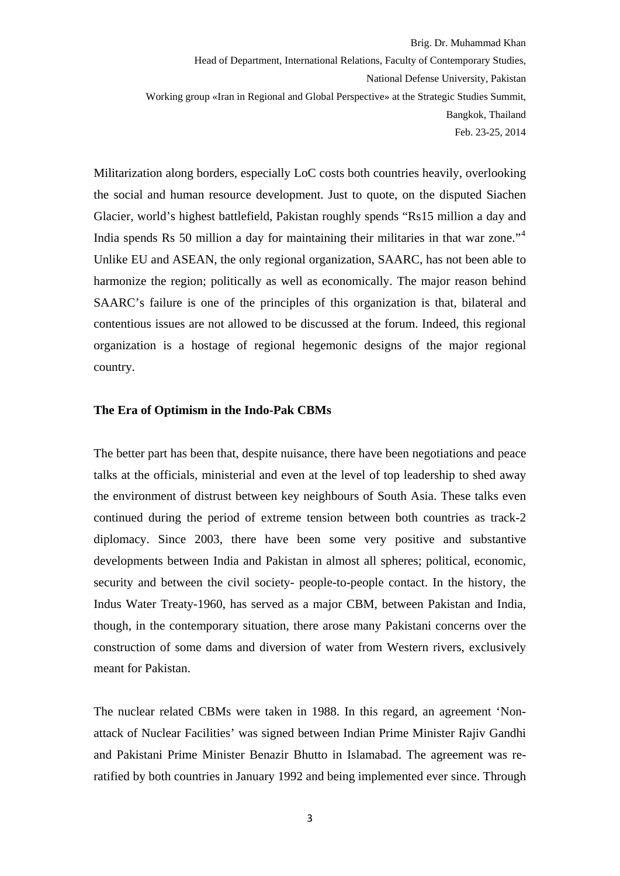Militarization along borders, especially LoC costs both countries heavily, overlooking the social and human resource development. Just to quote, on the disputed Siachen Glacier, world's highest battlefield, Pakistan roughly spends "Rs15 million a day and India spends Rs 50 million a day for maintaining their militaries in that war zone."[4](#page-12-1) Unlike EU and ASEAN, the only regional organization, SAARC, has not been able to harmonize the region; politically as well as economically. The major reason behind SAARC's failure is one of the principles of this organization is that, bilateral and contentious issues are not allowed to be discussed at the forum. Indeed, this regional organization is a hostage of regional hegemonic designs of the major regional country.

#### **The Era of Optimism in the Indo-Pak CBMs**

The better part has been that, despite nuisance, there have been negotiations and peace talks at the officials, ministerial and even at the level of top leadership to shed away the environment of distrust between key neighbours of South Asia. These talks even continued during the period of extreme tension between both countries as track-2 diplomacy. Since 2003, there have been some very positive and substantive developments between India and Pakistan in almost all spheres; political, economic, security and between the civil society- people-to-people contact. In the history, the Indus Water Treaty-1960, has served as a major CBM, between Pakistan and India, though, in the contemporary situation, there arose many Pakistani concerns over the construction of some dams and diversion of water from Western rivers, exclusively meant for Pakistan.

The nuclear related CBMs were taken in 1988. In this regard, an agreement 'Nonattack of Nuclear Facilities' was signed between Indian Prime Minister Rajiv Gandhi and Pakistani Prime Minister Benazir Bhutto in Islamabad. The agreement was reratified by both countries in January 1992 and being implemented ever since. Through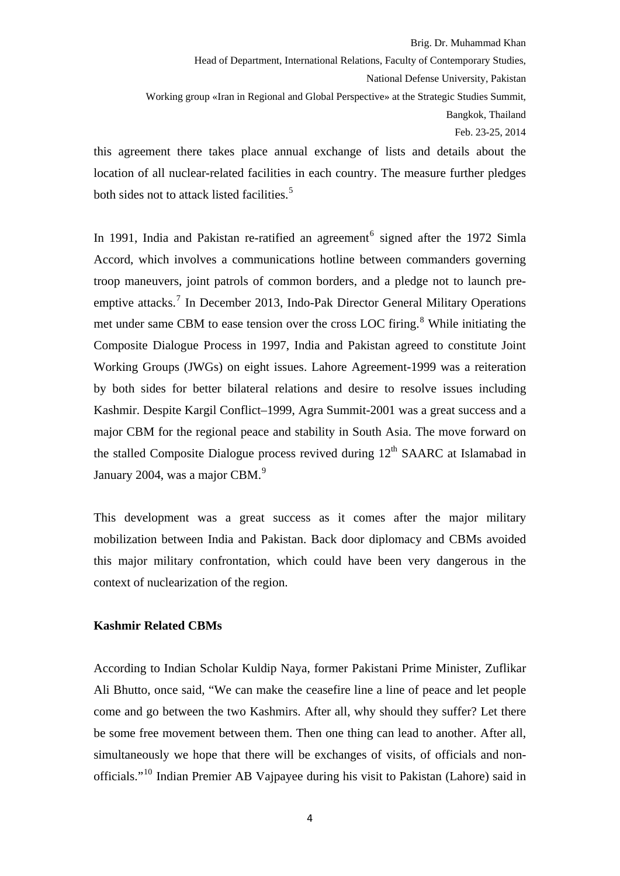#### Brig. Dr. Muhammad Khan

Head of Department, International Relations, Faculty of Contemporary Studies, National Defense University, Pakistan

Working group «Iran in Regional and Global Perspective» at the Strategic Studies Summit, Bangkok, Thailand

Feb. 23-25, 2014

this agreement there takes place annual exchange of lists and details about the location of all nuclear-related facilities in each country. The measure further pledges both sides not to attack listed facilities.<sup>[5](#page-12-1)</sup>

In 1991, India and Pakistan re-ratified an agreement<sup>[6](#page-12-1)</sup> signed after the 1972 Simla Accord, which involves a communications hotline between commanders governing troop maneuvers, joint patrols of common borders, and a pledge not to launch pre-emptive attacks.<sup>[7](#page-12-1)</sup> In December 2013, Indo-Pak Director General Military Operations met under same CBM to ease tension over the cross LOC firing.<sup>[8](#page-12-1)</sup> While initiating the Composite Dialogue Process in 1997, India and Pakistan agreed to constitute Joint Working Groups (JWGs) on eight issues. Lahore Agreement-1999 was a reiteration by both sides for better bilateral relations and desire to resolve issues including Kashmir. Despite Kargil Conflict–1999, Agra Summit-2001 was a great success and a major CBM for the regional peace and stability in South Asia. The move forward on the stalled Composite Dialogue process revived during  $12<sup>th</sup>$  SAARC at Islamabad in January 2004, was a major CBM.<sup>[9](#page-12-1)</sup>

This development was a great success as it comes after the major military mobilization between India and Pakistan. Back door diplomacy and CBMs avoided this major military confrontation, which could have been very dangerous in the context of nuclearization of the region.

#### **Kashmir Related CBMs**

According to Indian Scholar Kuldip Naya, former Pakistani Prime Minister, Zuflikar Ali Bhutto, once said, "We can make the ceasefire line a line of peace and let people come and go between the two Kashmirs. After all, why should they suffer? Let there be some free movement between them. Then one thing can lead to another. After all, simultaneously we hope that there will be exchanges of visits, of officials and nonofficials."[10](#page-12-1) Indian Premier AB Vajpayee during his visit to Pakistan (Lahore) said in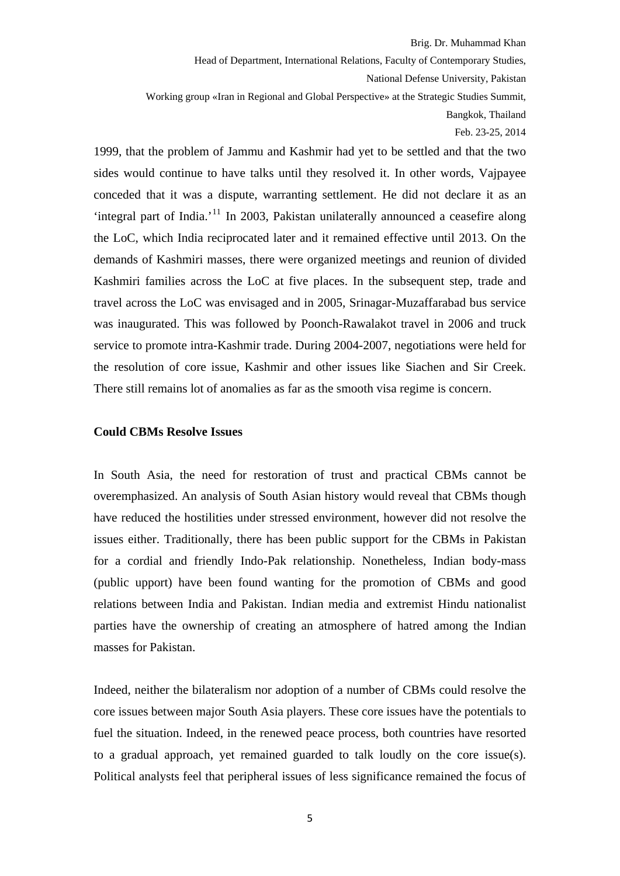Brig. Dr. Muhammad Khan

Head of Department, International Relations, Faculty of Contemporary Studies, National Defense University, Pakistan

Working group «Iran in Regional and Global Perspective» at the Strategic Studies Summit, Bangkok, Thailand

Feb. 23-25, 2014

1999, that the problem of Jammu and Kashmir had yet to be settled and that the two sides would continue to have talks until they resolved it. In other words, Vajpayee conceded that it was a dispute, warranting settlement. He did not declare it as an 'integral part of India.'[11](#page-12-1) In 2003, Pakistan unilaterally announced a ceasefire along the LoC, which India reciprocated later and it remained effective until 2013. On the demands of Kashmiri masses, there were organized meetings and reunion of divided Kashmiri families across the LoC at five places. In the subsequent step, trade and travel across the LoC was envisaged and in 2005, Srinagar-Muzaffarabad bus service was inaugurated. This was followed by Poonch-Rawalakot travel in 2006 and truck service to promote intra-Kashmir trade. During 2004-2007, negotiations were held for the resolution of core issue, Kashmir and other issues like Siachen and Sir Creek. There still remains lot of anomalies as far as the smooth visa regime is concern.

#### **Could CBMs Resolve Issues**

In South Asia, the need for restoration of trust and practical CBMs cannot be overemphasized. An analysis of South Asian history would reveal that CBMs though have reduced the hostilities under stressed environment, however did not resolve the issues either. Traditionally, there has been public support for the CBMs in Pakistan for a cordial and friendly Indo-Pak relationship. Nonetheless, Indian body-mass (public upport) have been found wanting for the promotion of CBMs and good relations between India and Pakistan. Indian media and extremist Hindu nationalist parties have the ownership of creating an atmosphere of hatred among the Indian masses for Pakistan.

Indeed, neither the bilateralism nor adoption of a number of CBMs could resolve the core issues between major South Asia players. These core issues have the potentials to fuel the situation. Indeed, in the renewed peace process, both countries have resorted to a gradual approach, yet remained guarded to talk loudly on the core issue(s). Political analysts feel that peripheral issues of less significance remained the focus of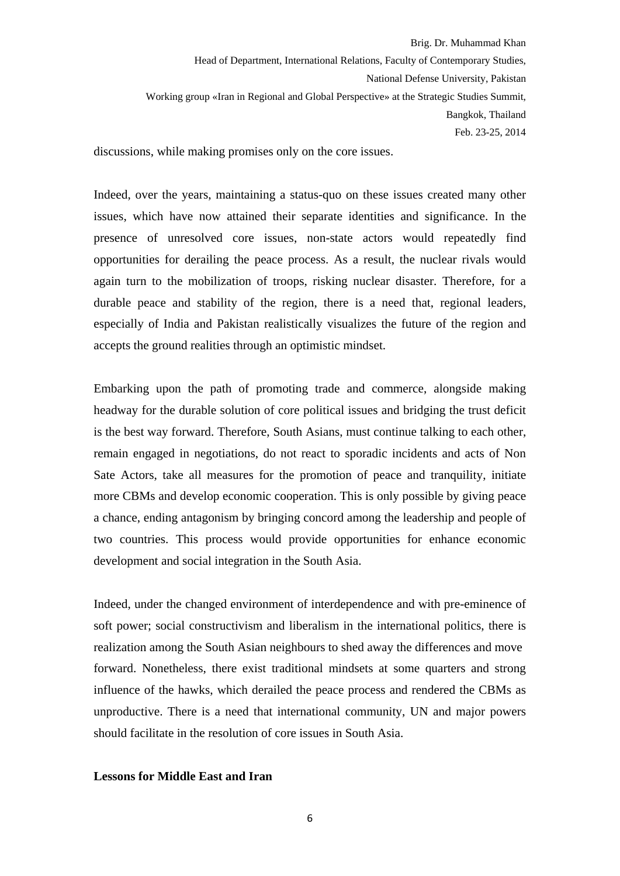discussions, while making promises only on the core issues.

Indeed, over the years, maintaining a status-quo on these issues created many other issues, which have now attained their separate identities and significance. In the presence of unresolved core issues, non-state actors would repeatedly find opportunities for derailing the peace process. As a result, the nuclear rivals would again turn to the mobilization of troops, risking nuclear disaster. Therefore, for a durable peace and stability of the region, there is a need that, regional leaders, especially of India and Pakistan realistically visualizes the future of the region and accepts the ground realities through an optimistic mindset.

Embarking upon the path of promoting trade and commerce, alongside making headway for the durable solution of core political issues and bridging the trust deficit is the best way forward. Therefore, South Asians, must continue talking to each other, remain engaged in negotiations, do not react to sporadic incidents and acts of Non Sate Actors, take all measures for the promotion of peace and tranquility, initiate more CBMs and develop economic cooperation. This is only possible by giving peace a chance, ending antagonism by bringing concord among the leadership and people of two countries. This process would provide opportunities for enhance economic development and social integration in the South Asia.

Indeed, under the changed environment of interdependence and with pre-eminence of soft power; social constructivism and liberalism in the international politics, there is realization among the South Asian neighbours to shed away the differences and move forward. Nonetheless, there exist traditional mindsets at some quarters and strong influence of the hawks, which derailed the peace process and rendered the CBMs as unproductive. There is a need that international community, UN and major powers should facilitate in the resolution of core issues in South Asia.

#### **Lessons for Middle East and Iran**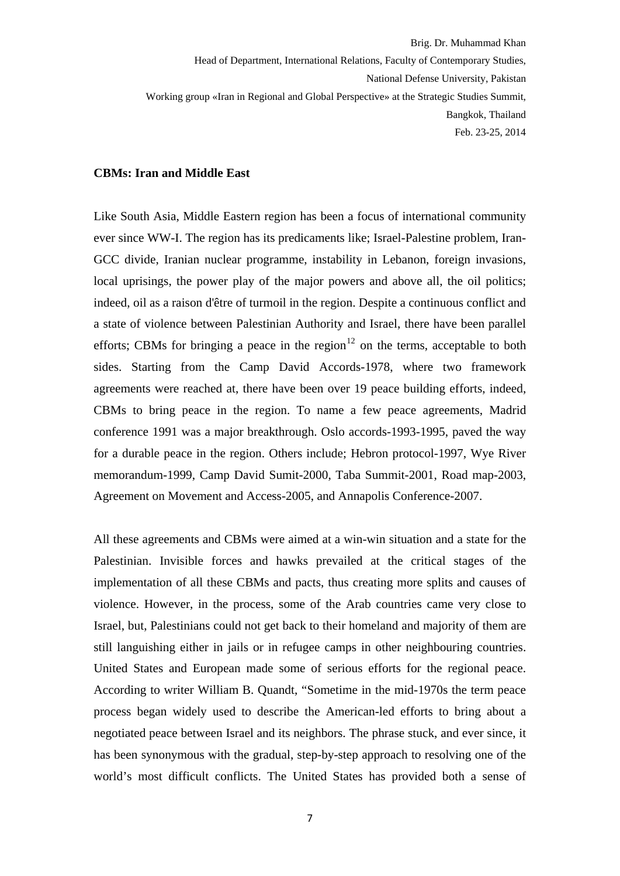#### **CBMs: Iran and Middle East**

Like South Asia, Middle Eastern region has been a focus of international community ever since WW-I. The region has its predicaments like; Israel-Palestine problem, Iran-GCC divide, Iranian nuclear programme, instability in Lebanon, foreign invasions, local uprisings, the power play of the major powers and above all, the oil politics; indeed, oil as a raison d'être of turmoil in the region. Despite a continuous conflict and a state of violence between Palestinian Authority and Israel, there have been parallel efforts; CBMs for bringing a peace in the region<sup>[12](#page-12-1)</sup> on the terms, acceptable to both sides. Starting from the Camp David Accords-1978, where two framework agreements were reached at, there have been over 19 peace building efforts, indeed, CBMs to bring peace in the region. To name a few peace agreements, Madrid conference 1991 was a major breakthrough. Oslo accords-1993-1995, paved the way for a durable peace in the region. Others include; Hebron protocol-1997, Wye River memorandum-1999, Camp David Sumit-2000, Taba Summit-2001, Road map-2003, Agreement on Movement and Access-2005, and Annapolis Conference-2007.

All these agreements and CBMs were aimed at a win-win situation and a state for the Palestinian. Invisible forces and hawks prevailed at the critical stages of the implementation of all these CBMs and pacts, thus creating more splits and causes of violence. However, in the process, some of the Arab countries came very close to Israel, but, Palestinians could not get back to their homeland and majority of them are still languishing either in jails or in refugee camps in other neighbouring countries. United States and European made some of serious efforts for the regional peace. According to writer William B. Quandt, "Sometime in the mid-1970s the term peace process began widely used to describe the American-led efforts to bring about a negotiated peace between Israel and its neighbors. The phrase stuck, and ever since, it has been synonymous with the gradual, step-by-step approach to resolving one of the world's most difficult conflicts. The United States has provided both a sense of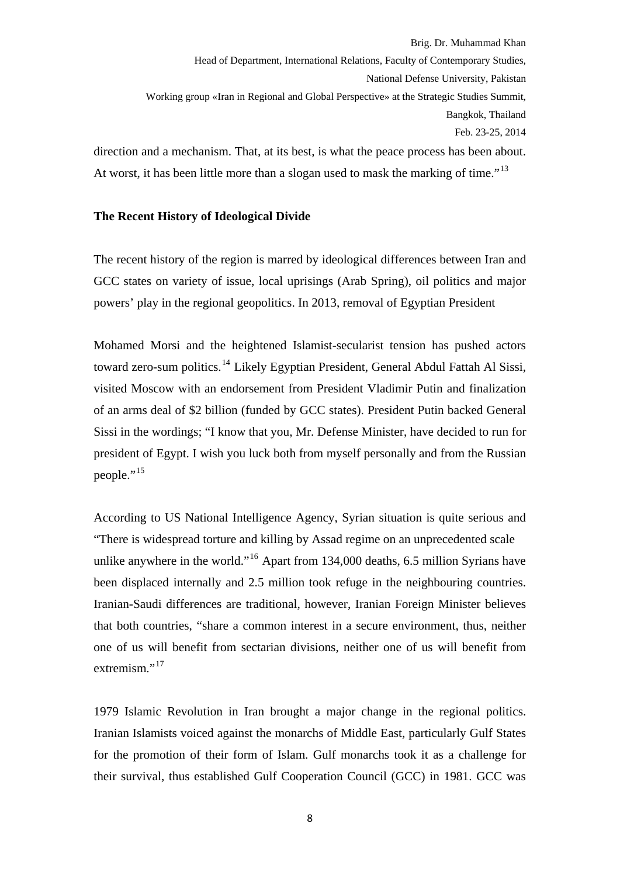direction and a mechanism. That, at its best, is what the peace process has been about. At worst, it has been little more than a slogan used to mask the marking of time."<sup>[13](#page-12-1)</sup>

# **The Recent History of Ideological Divide**

The recent history of the region is marred by ideological differences between Iran and GCC states on variety of issue, local uprisings (Arab Spring), oil politics and major powers' play in the regional geopolitics. In 2013, removal of Egyptian President

Mohamed Morsi and the heightened Islamist-secularist tension has pushed actors toward zero-sum politics.[14](#page-12-1) Likely Egyptian President, General Abdul Fattah Al Sissi, visited Moscow with an endorsement from President Vladimir Putin and finalization of an arms deal of \$2 billion (funded by GCC states). President Putin backed General Sissi in the wordings; "I know that you, Mr. Defense Minister, have decided to run for president of Egypt. I wish you luck both from myself personally and from the Russian people."<sup>[15](#page-12-1)</sup>

According to US National Intelligence Agency, Syrian situation is quite serious and "There is widespread torture and killing by Assad regime on an unprecedented scale unlike anywhere in the world."<sup>[16](#page-12-1)</sup> Apart from 134,000 deaths, 6.5 million Syrians have been displaced internally and 2.5 million took refuge in the neighbouring countries. Iranian-Saudi differences are traditional, however, Iranian Foreign Minister believes that both countries, "share a common interest in a secure environment, thus, neither one of us will benefit from sectarian divisions, neither one of us will benefit from extremism." $^{17}$  $^{17}$  $^{17}$ 

1979 Islamic Revolution in Iran brought a major change in the regional politics. Iranian Islamists voiced against the monarchs of Middle East, particularly Gulf States for the promotion of their form of Islam. Gulf monarchs took it as a challenge for their survival, thus established Gulf Cooperation Council (GCC) in 1981. GCC was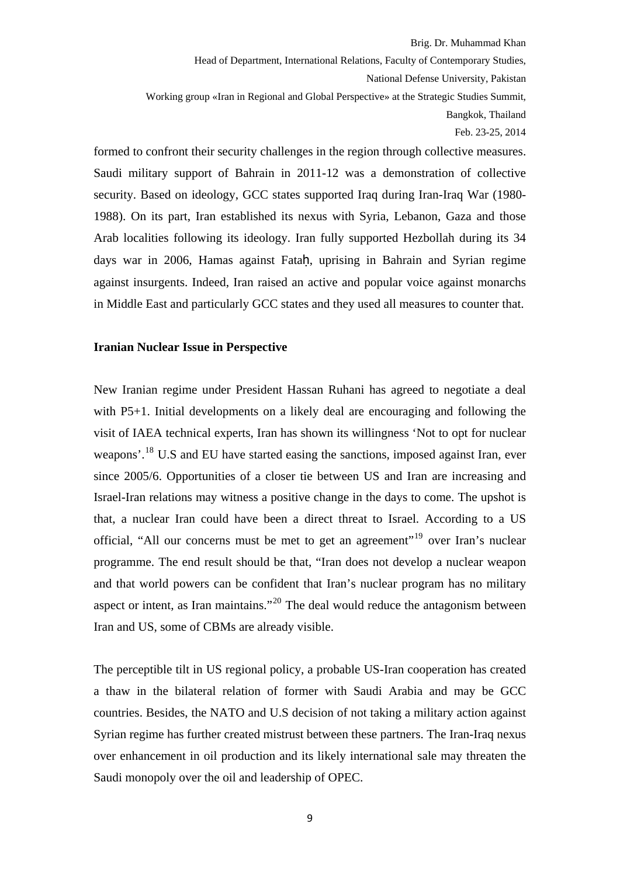formed to confront their security challenges in the region through collective measures. Saudi military support of Bahrain in 2011-12 was a demonstration of collective security. Based on ideology, GCC states supported Iraq during Iran-Iraq War (1980- 1988). On its part, Iran established its nexus with Syria, Lebanon, Gaza and those Arab localities following its ideology. Iran fully supported Hezbollah during its 34 days war in 2006, Hamas against Fataḥ, uprising in Bahrain and Syrian regime against insurgents. Indeed, Iran raised an active and popular voice against monarchs in Middle East and particularly GCC states and they used all measures to counter that.

#### **Iranian Nuclear Issue in Perspective**

New Iranian regime under President Hassan Ruhani has agreed to negotiate a deal with P5+1. Initial developments on a likely deal are encouraging and following the visit of IAEA technical experts, Iran has shown its willingness 'Not to opt for nuclear weapons'.[18](#page-12-1) U.S and EU have started easing the sanctions, imposed against Iran, ever since 2005/6. Opportunities of a closer tie between US and Iran are increasing and Israel-Iran relations may witness a positive change in the days to come. The upshot is that, a nuclear Iran could have been a direct threat to Israel. According to a US official, "All our concerns must be met to get an agreement"[19](#page-12-1) over Iran's nuclear programme. The end result should be that, "Iran does not develop a nuclear weapon and that world powers can be confident that Iran's nuclear program has no military aspect or intent, as Iran maintains."<sup>[20](#page-12-1)</sup> The deal would reduce the antagonism between Iran and US, some of CBMs are already visible.

The perceptible tilt in US regional policy, a probable US-Iran cooperation has created a thaw in the bilateral relation of former with Saudi Arabia and may be GCC countries. Besides, the NATO and U.S decision of not taking a military action against Syrian regime has further created mistrust between these partners. The Iran-Iraq nexus over enhancement in oil production and its likely international sale may threaten the Saudi monopoly over the oil and leadership of OPEC.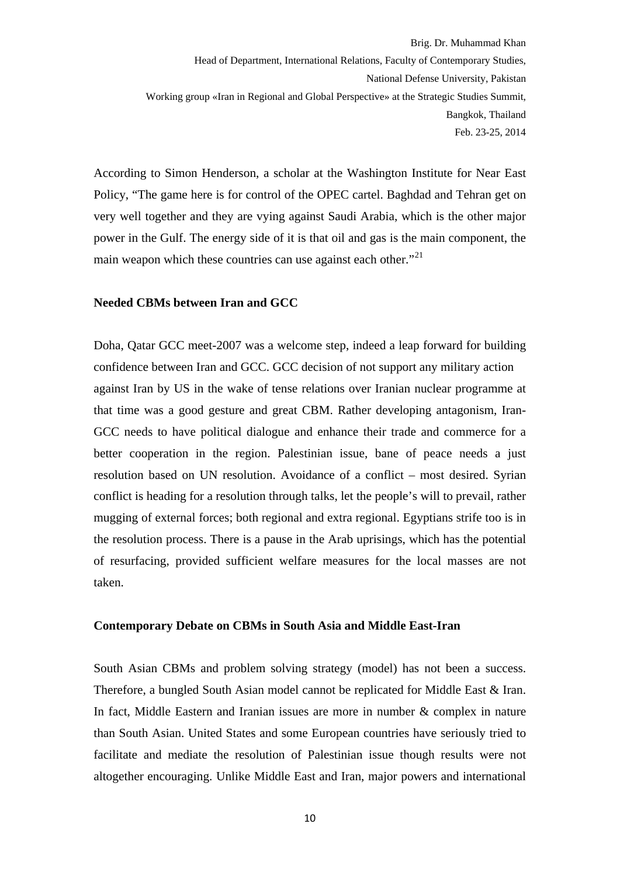According to Simon Henderson, a scholar at the Washington Institute for Near East Policy, "The game here is for control of the OPEC cartel. Baghdad and Tehran get on very well together and they are vying against Saudi Arabia, which is the other major power in the Gulf. The energy side of it is that oil and gas is the main component, the main weapon which these countries can use against each other."<sup>[21](#page-12-1)</sup>

#### **Needed CBMs between Iran and GCC**

Doha, Qatar GCC meet-2007 was a welcome step, indeed a leap forward for building confidence between Iran and GCC. GCC decision of not support any military action against Iran by US in the wake of tense relations over Iranian nuclear programme at that time was a good gesture and great CBM. Rather developing antagonism, Iran-GCC needs to have political dialogue and enhance their trade and commerce for a better cooperation in the region. Palestinian issue, bane of peace needs a just resolution based on UN resolution. Avoidance of a conflict – most desired. Syrian conflict is heading for a resolution through talks, let the people's will to prevail, rather mugging of external forces; both regional and extra regional. Egyptians strife too is in the resolution process. There is a pause in the Arab uprisings, which has the potential of resurfacing, provided sufficient welfare measures for the local masses are not taken.

#### **Contemporary Debate on CBMs in South Asia and Middle East-Iran**

South Asian CBMs and problem solving strategy (model) has not been a success. Therefore, a bungled South Asian model cannot be replicated for Middle East & Iran. In fact, Middle Eastern and Iranian issues are more in number & complex in nature than South Asian. United States and some European countries have seriously tried to facilitate and mediate the resolution of Palestinian issue though results were not altogether encouraging. Unlike Middle East and Iran, major powers and international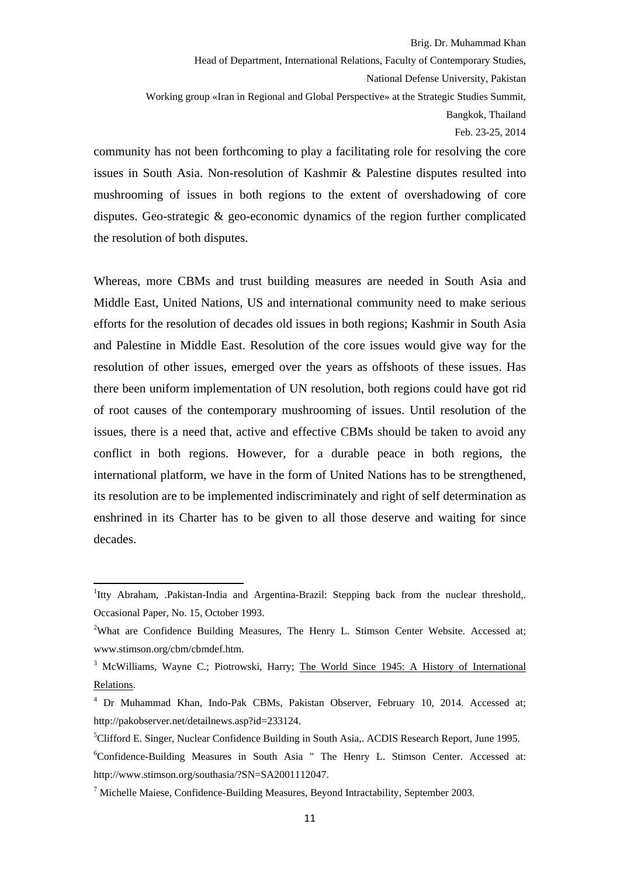Feb. 23-25, 2014

community has not been forthcoming to play a facilitating role for resolving the core issues in South Asia. Non-resolution of Kashmir & Palestine disputes resulted into mushrooming of issues in both regions to the extent of overshadowing of core disputes. Geo-strategic & geo-economic dynamics of the region further complicated the resolution of both disputes.

Whereas, more CBMs and trust building measures are needed in South Asia and Middle East, United Nations, US and international community need to make serious efforts for the resolution of decades old issues in both regions; Kashmir in South Asia and Palestine in Middle East. Resolution of the core issues would give way for the resolution of other issues, emerged over the years as offshoots of these issues. Has there been uniform implementation of UN resolution, both regions could have got rid of root causes of the contemporary mushrooming of issues. Until resolution of the issues, there is a need that, active and effective CBMs should be taken to avoid any conflict in both regions. However, for a durable peace in both regions, the international platform, we have in the form of United Nations has to be strengthened, its resolution are to be implemented indiscriminately and right of self determination as enshrined in its Charter has to be given to all those deserve and waiting for since decades.

<sup>&</sup>lt;sup>1</sup>Itty Abraham, .Pakistan-India and Argentina-Brazil: Stepping back from the nuclear threshold,. Occasional Paper, No. 15, October 1993.

<sup>&</sup>lt;sup>2</sup>What are Confidence Building Measures, The Henry L. Stimson Center Website. Accessed at; www.stimson.org/cbm/cbmdef.htm.

<sup>&</sup>lt;sup>3</sup> McWilliams, Wayne C.; Piotrowski, Harry; The World Since 1945: A History of International Relations.

<sup>&</sup>lt;sup>4</sup> Dr Muhammad Khan, Indo-Pak CBMs, Pakistan Observer, February 10, 2014. Accessed at; http://pakobserver.net/detailnews.asp?id=233124.

<sup>&</sup>lt;sup>5</sup>Clifford E. Singer, Nuclear Confidence Building in South Asia,. ACDIS Research Report, June 1995.

<sup>6</sup> Confidence-Building Measures in South Asia " The Henry L. Stimson Center. Accessed at: http://www.stimson.org/southasia/?SN=SA2001112047.

 $<sup>7</sup>$  Michelle Maiese, Confidence-Building Measures, Beyond Intractability, September 2003.</sup>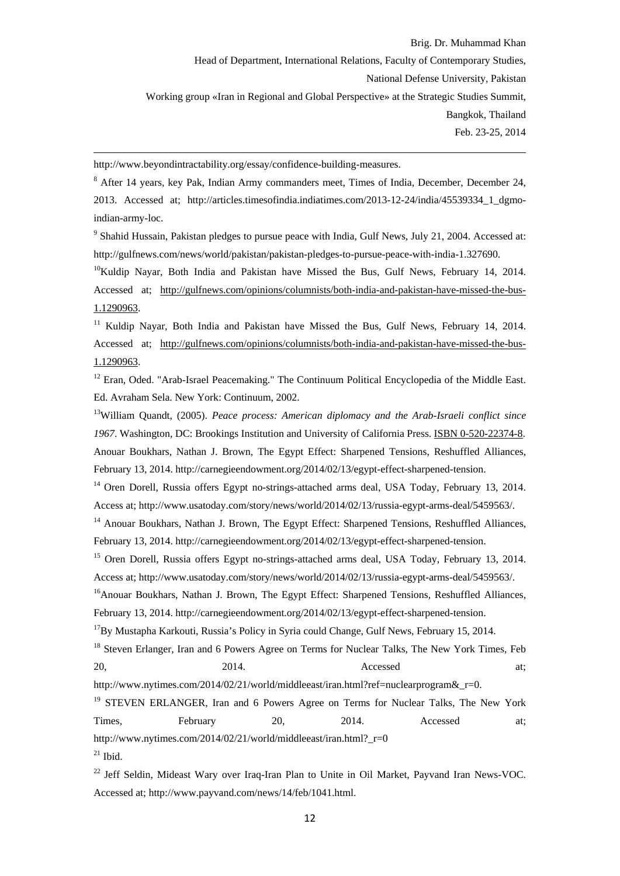http://www.beyondintractability.org/essay/confidence-building-measures.

<sup>8</sup> After 14 years, key Pak, Indian Army commanders meet, Times of India, December, December 24, 2013. Accessed at; http://articles.timesofindia.indiatimes.com/2013-12-24/india/45539334\_1\_dgmoindian-army-loc.

<u> 1989 - Johann Barbert Barbert Barbert Barbert Barbert Barbert Barbert Barbert Barbert Barbert Barbert Barbert</u>

<sup>9</sup> Shahid Hussain, Pakistan pledges to pursue peace with India, Gulf News, July 21, 2004. Accessed at: http://gulfnews.com/news/world/pakistan/pakistan-pledges-to-pursue-peace-with-india-1.327690.

 $10$ Kuldip Nayar, Both India and Pakistan have Missed the Bus, Gulf News, February 14, 2014. Accessed at; http://gulfnews.com/opinions/columnists/both-india-and-pakistan-have-missed-the-bus-1.1290963.

<sup>11</sup> Kuldip Nayar, Both India and Pakistan have Missed the Bus, Gulf News, February 14, 2014. Accessed at; http://gulfnews.com/opinions/columnists/both-india-and-pakistan-have-missed-the-bus-1.1290963.

<sup>12</sup> Eran. Oded. "Arab-Israel Peacemaking." The Continuum Political Encyclopedia of the Middle East. Ed. Avraham Sela. New York: Continuum, 2002.

13William Quandt, (2005). *Peace process: American diplomacy and the Arab-Israeli conflict since 1967*. Washington, DC: Brookings Institution and University of California Press. ISBN 0-520-22374-8. Anouar Boukhars, Nathan J. Brown, The Egypt Effect: Sharpened Tensions, Reshuffled Alliances, February 13, 2014. http://carnegieendowment.org/2014/02/13/egypt-effect-sharpened-tension.

<sup>14</sup> Oren Dorell, Russia offers Egypt no-strings-attached arms deal, USA Today, February 13, 2014. Access at; http://www.usatoday.com/story/news/world/2014/02/13/russia-egypt-arms-deal/5459563/.

<sup>14</sup> Anouar Boukhars, Nathan J. Brown, The Egypt Effect: Sharpened Tensions, Reshuffled Alliances, February 13, 2014. http://carnegieendowment.org/2014/02/13/egypt-effect-sharpened-tension.

<sup>15</sup> Oren Dorell, Russia offers Egypt no-strings-attached arms deal, USA Today, February 13, 2014. Access at; http://www.usatoday.com/story/news/world/2014/02/13/russia-egypt-arms-deal/5459563/.

<sup>16</sup>Anouar Boukhars, Nathan J. Brown, The Egypt Effect: Sharpened Tensions, Reshuffled Alliances, February 13, 2014. http://carnegieendowment.org/2014/02/13/egypt-effect-sharpened-tension.

 $17By$  Mustapha Karkouti, Russia's Policy in Syria could Change, Gulf News, February 15, 2014.

<sup>18</sup> Steven Erlanger, Iran and 6 Powers Agree on Terms for Nuclear Talks, The New York Times, Feb 20, 2014. **Accessed** at;

http://www.nytimes.com/2014/02/21/world/middleeast/iran.html?ref=nuclearprogram&r=0.

<sup>19</sup> STEVEN ERLANGER, Iran and 6 Powers Agree on Terms for Nuclear Talks, The New York Times, February 20, 2014. Accessed at; http://www.nytimes.com/2014/02/21/world/middleeast/iran.html? $r=0$  $21$  Ibid.

<sup>22</sup> Jeff Seldin, Mideast Wary over Iraq-Iran Plan to Unite in Oil Market, Payvand Iran News-VOC. Accessed at; http://www.payvand.com/news/14/feb/1041.html.